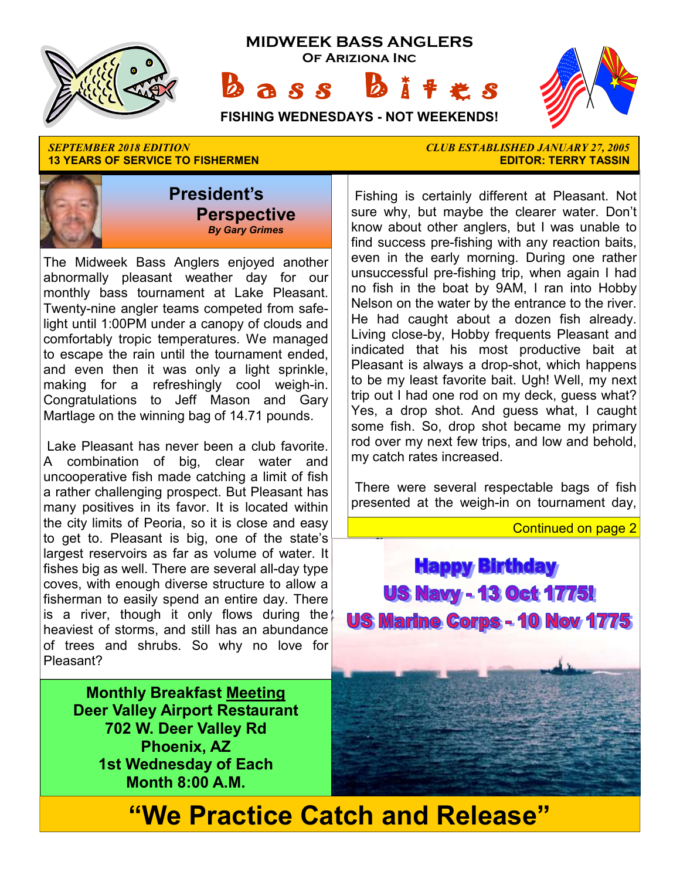

**13 YEARS OF SERVICE TO FISHERMEN** 



The Midweek Bass Anglers enjoyed another abnormally pleasant weather day for our monthly bass tournament at Lake Pleasant. Twenty-nine angler teams competed from safelight until 1:00PM under a canopy of clouds and comfortably tropic temperatures. We managed to escape the rain until the tournament ended, and even then it was only a light sprinkle, making for a refreshingly cool weigh-in. Congratulations to Jeff Mason and Gary Martlage on the winning bag of 14.71 pounds.

 Lake Pleasant has never been a club favorite. A combination of big, clear water and uncooperative fish made catching a limit of fish a rather challenging prospect. But Pleasant has many positives in its favor. It is located within the city limits of Peoria, so it is close and easy to get to. Pleasant is big, one of the state's largest reservoirs as far as volume of water. It fishes big as well. There are several all-day type coves, with enough diverse structure to allow a fisherman to easily spend an entire day. There is a river, though it only flows during the heaviest of storms, and still has an abundance of trees and shrubs. So why no love for Pleasant?

**Monthly Breakfast Meeting Deer Valley Airport Restaurant 702 W. Deer Valley Rd Phoenix, AZ 1st Wednesday of Each Month 8:00 A.M.** 

*SEPTEMBER 2018 EDITION CLUB ESTABLISHED JANUARY 27, 2005* 

 Fishing is certainly different at Pleasant. Not sure why, but maybe the clearer water. Don't know about other anglers, but I was unable to find success pre-fishing with any reaction baits, even in the early morning. During one rather unsuccessful pre-fishing trip, when again I had no fish in the boat by 9AM, I ran into Hobby Nelson on the water by the entrance to the river. He had caught about a dozen fish already. Living close-by, Hobby frequents Pleasant and indicated that his most productive bait at Pleasant is always a drop-shot, which happens to be my least favorite bait. Ugh! Well, my next trip out I had one rod on my deck, guess what? Yes, a drop shot. And guess what, I caught some fish. So, drop shot became my primary rod over my next few trips, and low and behold, my catch rates increased.

 There were several respectable bags of fish presented at the weigh-in on tournament day,

Continued on page 2

**Happy Birthday US Navy - 13 Oct 1775! US Marine Corps - 10 Nov 1775** 

# **"We Practice Catch and Release"**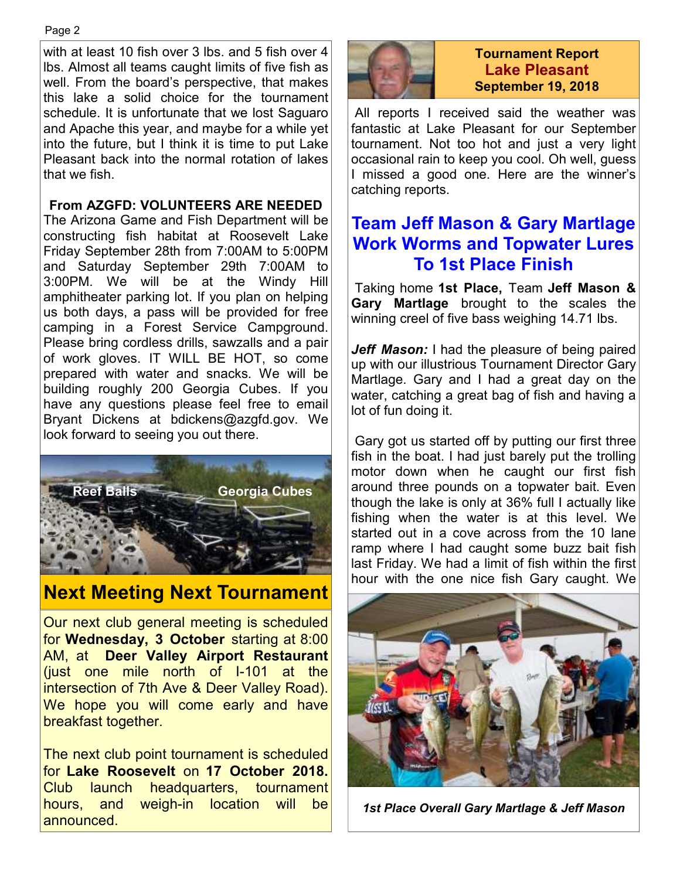with at least 10 fish over 3 lbs. and 5 fish over 4 lbs. Almost all teams caught limits of five fish as well. From the board's perspective, that makes this lake a solid choice for the tournament schedule. It is unfortunate that we lost Saguaro and Apache this year, and maybe for a while yet into the future, but I think it is time to put Lake Pleasant back into the normal rotation of lakes that we fish.

#### **From AZGFD: VOLUNTEERS ARE NEEDED**

The Arizona Game and Fish Department will be constructing fish habitat at Roosevelt Lake Friday September 28th from 7:00AM to 5:00PM and Saturday September 29th 7:00AM to 3:00PM. We will be at the Windy Hill amphitheater parking lot. If you plan on helping us both days, a pass will be provided for free camping in a Forest Service Campground. Please bring cordless drills, sawzalls and a pair of work gloves. IT WILL BE HOT, so come prepared with water and snacks. We will be building roughly 200 Georgia Cubes. If you have any questions please feel free to email Bryant Dickens at bdickens@azgfd.gov. We look forward to seeing you out there.



# **Next Meeting Next Tournament**

Our next club general meeting is scheduled for **Wednesday, 3 October** starting at 8:00 AM, at **Deer Valley Airport Restaurant**  (just one mile north of I-101 at the intersection of 7th Ave & Deer Valley Road). We hope you will come early and have breakfast together.

The next club point tournament is scheduled for **Lake Roosevelt** on **17 October 2018.**  Club launch headquarters, tournament hours, and weigh-in location will be announced.



#### **Tournament Report Lake Pleasant September 19, 2018**

 All reports I received said the weather was fantastic at Lake Pleasant for our September tournament. Not too hot and just a very light occasional rain to keep you cool. Oh well, guess I missed a good one. Here are the winner's catching reports.

## **Team Jeff Mason & Gary Martlage Work Worms and Topwater Lures To 1st Place Finish**

 Taking home **1st Place,** Team **Jeff Mason & Gary Martlage** brought to the scales the winning creel of five bass weighing 14.71 lbs.

*Jeff Mason:* I had the pleasure of being paired up with our illustrious Tournament Director Gary Martlage. Gary and I had a great day on the water, catching a great bag of fish and having a lot of fun doing it.

 Gary got us started off by putting our first three fish in the boat. I had just barely put the trolling motor down when he caught our first fish around three pounds on a topwater bait. Even though the lake is only at 36% full I actually like fishing when the water is at this level. We started out in a cove across from the 10 lane ramp where I had caught some buzz bait fish last Friday. We had a limit of fish within the first hour with the one nice fish Gary caught. We



*1st Place Overall Gary Martlage & Jeff Mason*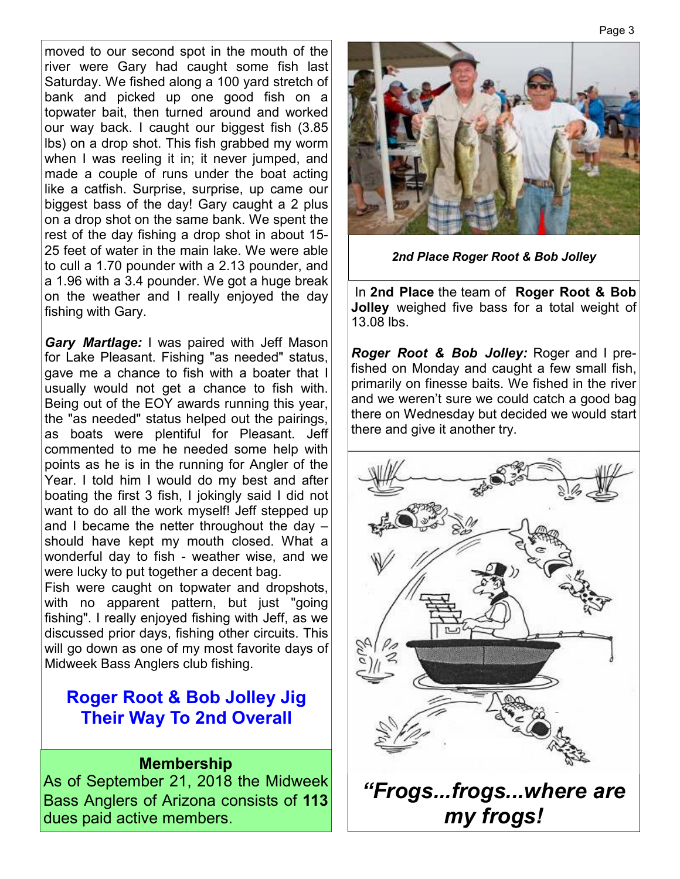moved to our second spot in the mouth of the river were Gary had caught some fish last Saturday. We fished along a 100 yard stretch of bank and picked up one good fish on a topwater bait, then turned around and worked our way back. I caught our biggest fish (3.85 lbs) on a drop shot. This fish grabbed my worm when I was reeling it in; it never jumped, and made a couple of runs under the boat acting like a catfish. Surprise, surprise, up came our biggest bass of the day! Gary caught a 2 plus on a drop shot on the same bank. We spent the rest of the day fishing a drop shot in about 15- 25 feet of water in the main lake. We were able to cull a 1.70 pounder with a 2.13 pounder, and a 1.96 with a 3.4 pounder. We got a huge break on the weather and I really enjoyed the day fishing with Gary.

*Gary Martlage:* I was paired with Jeff Mason for Lake Pleasant. Fishing "as needed" status, gave me a chance to fish with a boater that I usually would not get a chance to fish with. Being out of the EOY awards running this year, the "as needed" status helped out the pairings, as boats were plentiful for Pleasant. Jeff commented to me he needed some help with points as he is in the running for Angler of the Year. I told him I would do my best and after boating the first 3 fish, I jokingly said I did not want to do all the work myself! Jeff stepped up and I became the netter throughout the day – should have kept my mouth closed. What a wonderful day to fish - weather wise, and we were lucky to put together a decent bag.

Fish were caught on topwater and dropshots, with no apparent pattern, but just "going fishing". I really enjoyed fishing with Jeff, as we discussed prior days, fishing other circuits. This will go down as one of my most favorite days of Midweek Bass Anglers club fishing.

# **Roger Root & Bob Jolley Jig Their Way To 2nd Overall**

#### **Membership**

As of September 21, 2018 the Midweek Bass Anglers of Arizona consists of **113**  dues paid active members.



*2nd Place Roger Root & Bob Jolley*

 In **2nd Place** the team of **Roger Root & Bob Jolley** weighed five bass for a total weight of 13.08 lbs.

*Roger Root & Bob Jolley:* Roger and I prefished on Monday and caught a few small fish, primarily on finesse baits. We fished in the river and we weren't sure we could catch a good bag there on Wednesday but decided we would start there and give it another try.

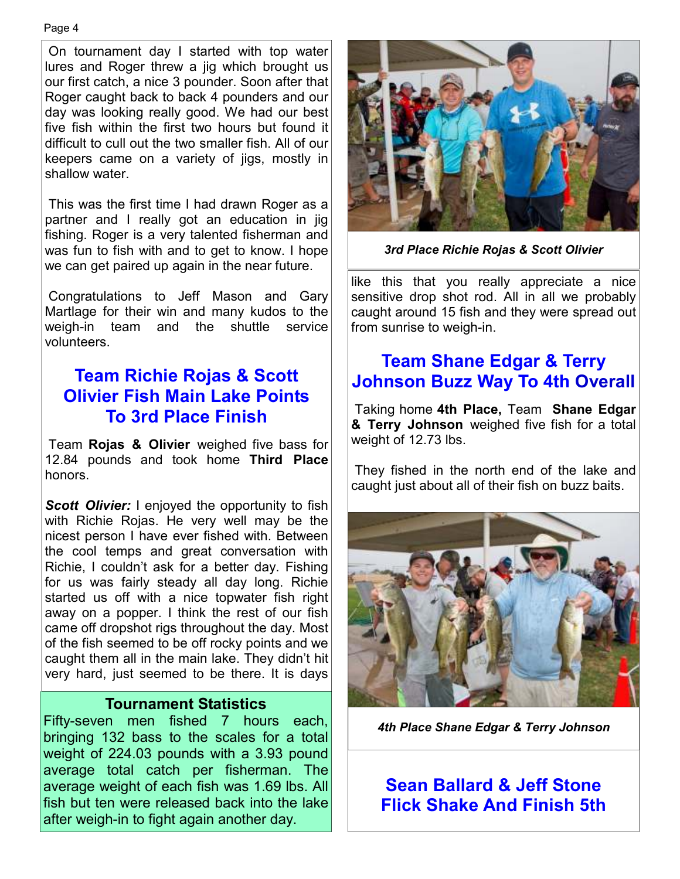#### Page 4

 On tournament day I started with top water lures and Roger threw a jig which brought us our first catch, a nice 3 pounder. Soon after that Roger caught back to back 4 pounders and our day was looking really good. We had our best five fish within the first two hours but found it difficult to cull out the two smaller fish. All of our keepers came on a variety of jigs, mostly in shallow water.

 This was the first time I had drawn Roger as a partner and I really got an education in jig fishing. Roger is a very talented fisherman and was fun to fish with and to get to know. I hope we can get paired up again in the near future.

 Congratulations to Jeff Mason and Gary Martlage for their win and many kudos to the weigh-in team and the shuttle service volunteers.

#### **Team Richie Rojas & Scott Olivier Fish Main Lake Points To 3rd Place Finish**

 Team **Rojas & Olivier** weighed five bass for 12.84 pounds and took home **Third Place**  honors.

**Scott Olivier:** I enjoyed the opportunity to fish with Richie Rojas. He very well may be the nicest person I have ever fished with. Between the cool temps and great conversation with Richie, I couldn't ask for a better day. Fishing for us was fairly steady all day long. Richie started us off with a nice topwater fish right away on a popper. I think the rest of our fish came off dropshot rigs throughout the day. Most of the fish seemed to be off rocky points and we caught them all in the main lake. They didn't hit very hard, just seemed to be there. It is days

#### **Tournament Statistics**

Fifty-seven men fished 7 hours each, bringing 132 bass to the scales for a total weight of 224.03 pounds with a 3.93 pound average total catch per fisherman. The average weight of each fish was 1.69 lbs. All fish but ten were released back into the lake after weigh-in to fight again another day.



*3rd Place Richie Rojas & Scott Olivier* 

like this that you really appreciate a nice sensitive drop shot rod. All in all we probably caught around 15 fish and they were spread out from sunrise to weigh-in.

# **Team Shane Edgar & Terry Johnson Buzz Way To 4th Overall**

 Taking home **4th Place,** Team **Shane Edgar & Terry Johnson** weighed five fish for a total weight of 12.73 lbs.

 They fished in the north end of the lake and caught just about all of their fish on buzz baits.



*4th Place Shane Edgar & Terry Johnson* 

**Sean Ballard & Jeff Stone Flick Shake And Finish 5th**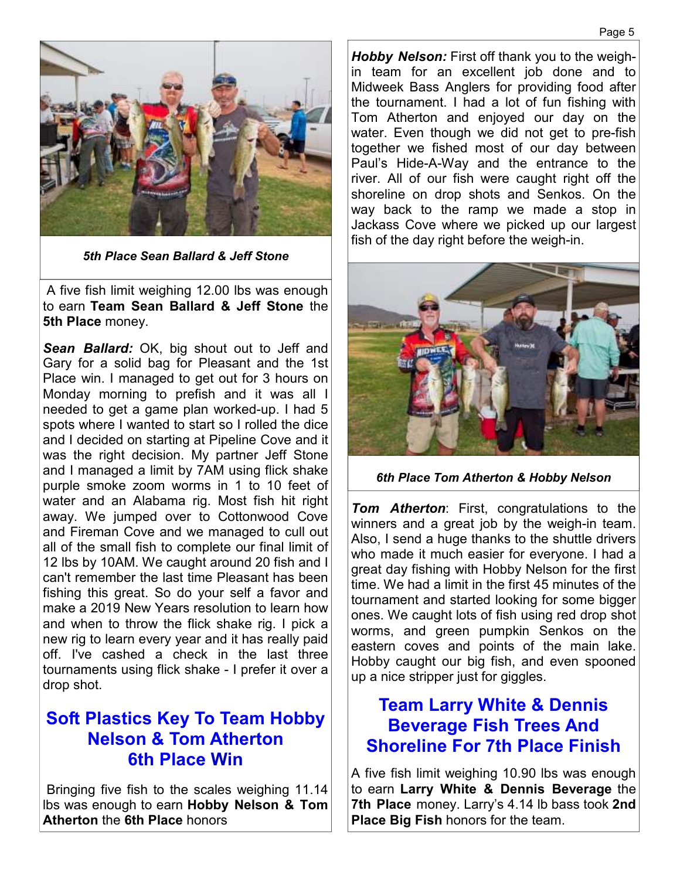

*5th Place Sean Ballard & Jeff Stone* 

 A five fish limit weighing 12.00 lbs was enough to earn **Team Sean Ballard & Jeff Stone** the **5th Place** money.

*Sean Ballard:* OK, big shout out to Jeff and Gary for a solid bag for Pleasant and the 1st Place win. I managed to get out for 3 hours on Monday morning to prefish and it was all I needed to get a game plan worked-up. I had 5 spots where I wanted to start so I rolled the dice and I decided on starting at Pipeline Cove and it was the right decision. My partner Jeff Stone and I managed a limit by 7AM using flick shake purple smoke zoom worms in 1 to 10 feet of water and an Alabama rig. Most fish hit right away. We jumped over to Cottonwood Cove and Fireman Cove and we managed to cull out all of the small fish to complete our final limit of 12 lbs by 10AM. We caught around 20 fish and I can't remember the last time Pleasant has been fishing this great. So do your self a favor and make a 2019 New Years resolution to learn how and when to throw the flick shake rig. I pick a new rig to learn every year and it has really paid off. I've cashed a check in the last three tournaments using flick shake - I prefer it over a drop shot.

## **Soft Plastics Key To Team Hobby Nelson & Tom Atherton 6th Place Win**

 Bringing five fish to the scales weighing 11.14 lbs was enough to earn **Hobby Nelson & Tom Atherton** the **6th Place** honors

*Hobby Nelson:* First off thank you to the weighin team for an excellent job done and to Midweek Bass Anglers for providing food after the tournament. I had a lot of fun fishing with Tom Atherton and enjoyed our day on the water. Even though we did not get to pre-fish together we fished most of our day between Paul's Hide-A-Way and the entrance to the river. All of our fish were caught right off the shoreline on drop shots and Senkos. On the way back to the ramp we made a stop in Jackass Cove where we picked up our largest fish of the day right before the weigh-in.



*6th Place Tom Atherton & Hobby Nelson* 

*Tom Atherton*: First, congratulations to the winners and a great job by the weigh-in team. Also, I send a huge thanks to the shuttle drivers who made it much easier for everyone. I had a great day fishing with Hobby Nelson for the first time. We had a limit in the first 45 minutes of the tournament and started looking for some bigger ones. We caught lots of fish using red drop shot worms, and green pumpkin Senkos on the eastern coves and points of the main lake. Hobby caught our big fish, and even spooned up a nice stripper just for giggles.

#### **Team Larry White & Dennis Beverage Fish Trees And Shoreline For 7th Place Finish**

A five fish limit weighing 10.90 lbs was enough to earn **Larry White & Dennis Beverage** the **7th Place** money. Larry's 4.14 lb bass took **2nd Place Big Fish** honors for the team.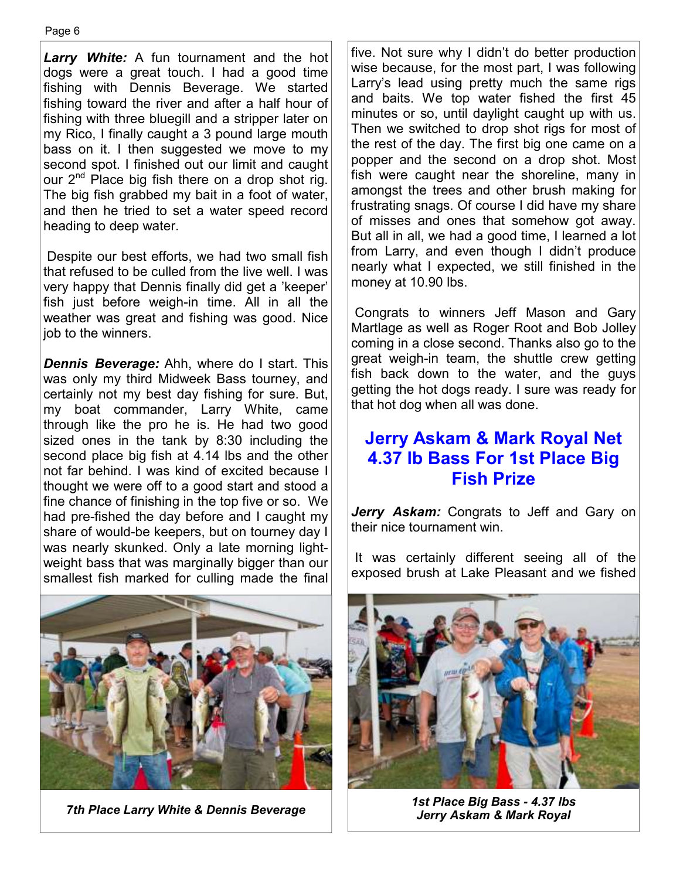*Larry White:* A fun tournament and the hot dogs were a great touch. I had a good time fishing with Dennis Beverage. We started fishing toward the river and after a half hour of fishing with three bluegill and a stripper later on my Rico, I finally caught a 3 pound large mouth bass on it. I then suggested we move to my second spot. I finished out our limit and caught our 2<sup>nd</sup> Place big fish there on a drop shot rig. The big fish grabbed my bait in a foot of water, and then he tried to set a water speed record heading to deep water.

 Despite our best efforts, we had two small fish that refused to be culled from the live well. I was very happy that Dennis finally did get a 'keeper' fish just before weigh-in time. All in all the weather was great and fishing was good. Nice job to the winners.

*Dennis Beverage:* Ahh, where do I start. This was only my third Midweek Bass tourney, and certainly not my best day fishing for sure. But, my boat commander, Larry White, came through like the pro he is. He had two good sized ones in the tank by 8:30 including the second place big fish at 4.14 lbs and the other not far behind. I was kind of excited because I thought we were off to a good start and stood a fine chance of finishing in the top five or so. We had pre-fished the day before and I caught my share of would-be keepers, but on tourney day I was nearly skunked. Only a late morning lightweight bass that was marginally bigger than our smallest fish marked for culling made the final



five. Not sure why I didn't do better production wise because, for the most part, I was following Larry's lead using pretty much the same rigs and baits. We top water fished the first 45 minutes or so, until daylight caught up with us. Then we switched to drop shot rigs for most of the rest of the day. The first big one came on a popper and the second on a drop shot. Most fish were caught near the shoreline, many in amongst the trees and other brush making for frustrating snags. Of course I did have my share of misses and ones that somehow got away. But all in all, we had a good time, I learned a lot from Larry, and even though I didn't produce nearly what I expected, we still finished in the money at 10.90 lbs.

 Congrats to winners Jeff Mason and Gary Martlage as well as Roger Root and Bob Jolley coming in a close second. Thanks also go to the great weigh-in team, the shuttle crew getting fish back down to the water, and the guys getting the hot dogs ready. I sure was ready for that hot dog when all was done.

#### **Jerry Askam & Mark Royal Net 4.37 lb Bass For 1st Place Big Fish Prize**

*Jerry Askam:* Congrats to Jeff and Gary on their nice tournament win.

 It was certainly different seeing all of the exposed brush at Lake Pleasant and we fished



*7th Place Larry White & Dennis Beverage 1st Place Big Bass - 4.37 lbs Jerry Askam & Mark Royal*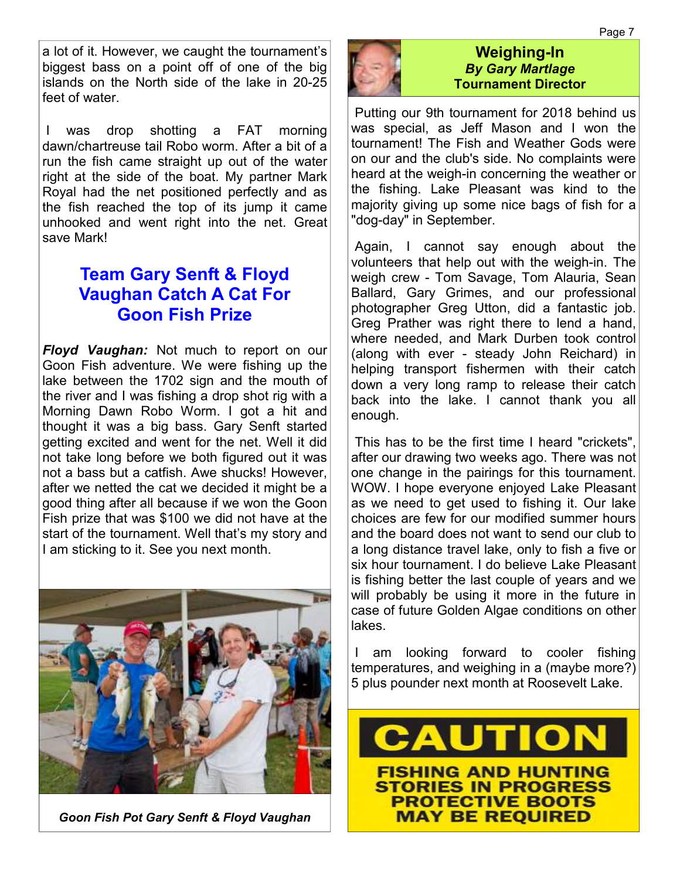a lot of it. However, we caught the tournament's biggest bass on a point off of one of the big islands on the North side of the lake in 20-25 feet of water

 I was drop shotting a FAT morning dawn/chartreuse tail Robo worm. After a bit of a run the fish came straight up out of the water right at the side of the boat. My partner Mark Royal had the net positioned perfectly and as the fish reached the top of its jump it came unhooked and went right into the net. Great save Mark!

## **Team Gary Senft & Floyd Vaughan Catch A Cat For Goon Fish Prize**

*Floyd Vaughan:* Not much to report on our Goon Fish adventure. We were fishing up the lake between the 1702 sign and the mouth of the river and I was fishing a drop shot rig with a Morning Dawn Robo Worm. I got a hit and thought it was a big bass. Gary Senft started getting excited and went for the net. Well it did not take long before we both figured out it was not a bass but a catfish. Awe shucks! However after we netted the cat we decided it might be a good thing after all because if we won the Goon Fish prize that was \$100 we did not have at the start of the tournament. Well that's my story and I am sticking to it. See you next month.



*Goon Fish Pot Gary Senft & Floyd Vaughan* 



#### **Weighing-In**  *By Gary Martlage*  **Tournament Director**

 Putting our 9th tournament for 2018 behind us was special, as Jeff Mason and I won the tournament! The Fish and Weather Gods were on our and the club's side. No complaints were heard at the weigh-in concerning the weather or the fishing. Lake Pleasant was kind to the majority giving up some nice bags of fish for a "dog-day" in September.

 Again, I cannot say enough about the volunteers that help out with the weigh-in. The weigh crew - Tom Savage, Tom Alauria, Sean Ballard, Gary Grimes, and our professional photographer Greg Utton, did a fantastic job. Greg Prather was right there to lend a hand, where needed, and Mark Durben took control (along with ever - steady John Reichard) in helping transport fishermen with their catch down a very long ramp to release their catch back into the lake. I cannot thank you all enough.

 This has to be the first time I heard "crickets", after our drawing two weeks ago. There was not one change in the pairings for this tournament. WOW. I hope everyone enjoyed Lake Pleasant as we need to get used to fishing it. Our lake choices are few for our modified summer hours and the board does not want to send our club to a long distance travel lake, only to fish a five or six hour tournament. I do believe Lake Pleasant is fishing better the last couple of years and we will probably be using it more in the future in case of future Golden Algae conditions on other lakes.

 I am looking forward to cooler fishing temperatures, and weighing in a (maybe more?) 5 plus pounder next month at Roosevelt Lake.

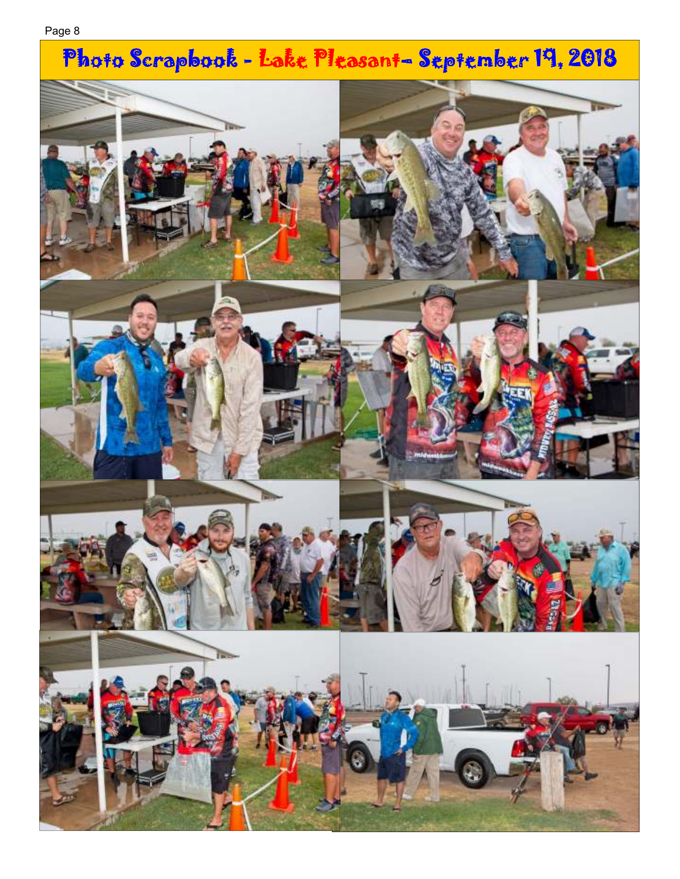# Photo Scrapbook - Lake Pleasant- September 19, 2018